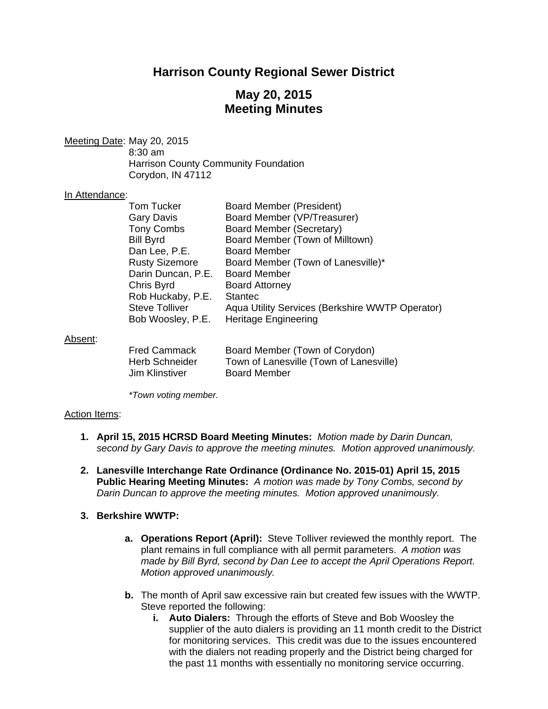# **Harrison County Regional Sewer District**

# **May 20, 2015 Meeting Minutes**

Meeting Date: May 20, 2015 8:30 am Harrison County Community Foundation Corydon, IN 47112

### In Attendance:

| <b>Tom Tucker</b>     | <b>Board Member (President)</b>                 |
|-----------------------|-------------------------------------------------|
| <b>Gary Davis</b>     | Board Member (VP/Treasurer)                     |
| <b>Tony Combs</b>     | Board Member (Secretary)                        |
| <b>Bill Byrd</b>      | Board Member (Town of Milltown)                 |
| Dan Lee, P.E.         | <b>Board Member</b>                             |
| <b>Rusty Sizemore</b> | Board Member (Town of Lanesville)*              |
| Darin Duncan, P.E.    | <b>Board Member</b>                             |
| Chris Byrd            | <b>Board Attorney</b>                           |
| Rob Huckaby, P.E.     | <b>Stantec</b>                                  |
| <b>Steve Tolliver</b> | Aqua Utility Services (Berkshire WWTP Operator) |
| Bob Woosley, P.E.     | <b>Heritage Engineering</b>                     |
|                       |                                                 |
|                       |                                                 |
|                       |                                                 |

### Absent:

| <b>Fred Cammack</b>   | Board Member (Town of Corydon)          |
|-----------------------|-----------------------------------------|
| <b>Herb Schneider</b> | Town of Lanesville (Town of Lanesville) |
| Jim Klinstiver        | <b>Board Member</b>                     |

 *\*Town voting member.* 

### Action Items:

- **1. April 15, 2015 HCRSD Board Meeting Minutes:** *Motion made by Darin Duncan, second by Gary Davis to approve the meeting minutes. Motion approved unanimously.*
- **2. Lanesville Interchange Rate Ordinance (Ordinance No. 2015-01) April 15, 2015 Public Hearing Meeting Minutes:** *A motion was made by Tony Combs, second by Darin Duncan to approve the meeting minutes. Motion approved unanimously.*
- **3. Berkshire WWTP:**
	- **a. Operations Report (April):** Steve Tolliver reviewed the monthly report. The plant remains in full compliance with all permit parameters. *A motion was made by Bill Byrd, second by Dan Lee to accept the April Operations Report. Motion approved unanimously.*
	- **b.** The month of April saw excessive rain but created few issues with the WWTP. Steve reported the following:
		- **i. Auto Dialers:** Through the efforts of Steve and Bob Woosley the supplier of the auto dialers is providing an 11 month credit to the District for monitoring services. This credit was due to the issues encountered with the dialers not reading properly and the District being charged for the past 11 months with essentially no monitoring service occurring.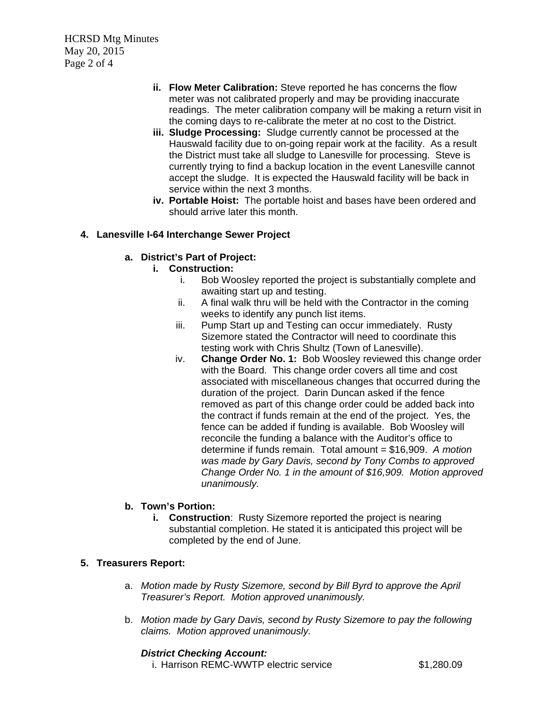HCRSD Mtg Minutes May 20, 2015 Page 2 of 4

- **ii. Flow Meter Calibration:** Steve reported he has concerns the flow meter was not calibrated properly and may be providing inaccurate readings. The meter calibration company will be making a return visit in the coming days to re-calibrate the meter at no cost to the District.
- **iii. Sludge Processing:** Sludge currently cannot be processed at the Hauswald facility due to on-going repair work at the facility. As a result the District must take all sludge to Lanesville for processing. Steve is currently trying to find a backup location in the event Lanesville cannot accept the sludge. It is expected the Hauswald facility will be back in service within the next 3 months.
- **iv. Portable Hoist:** The portable hoist and bases have been ordered and should arrive later this month.

## **4. Lanesville I-64 Interchange Sewer Project**

## **a. District's Part of Project:**

- **i. Construction:** 
	- i. Bob Woosley reported the project is substantially complete and awaiting start up and testing.
	- ii. A final walk thru will be held with the Contractor in the coming weeks to identify any punch list items.
	- iii. Pump Start up and Testing can occur immediately. Rusty Sizemore stated the Contractor will need to coordinate this testing work with Chris Shultz (Town of Lanesville).
	- iv. **Change Order No. 1:** Bob Woosley reviewed this change order with the Board. This change order covers all time and cost associated with miscellaneous changes that occurred during the duration of the project. Darin Duncan asked if the fence removed as part of this change order could be added back into the contract if funds remain at the end of the project. Yes, the fence can be added if funding is available. Bob Woosley will reconcile the funding a balance with the Auditor's office to determine if funds remain. Total amount = \$16,909. *A motion was made by Gary Davis, second by Tony Combs to approved Change Order No. 1 in the amount of \$16,909. Motion approved unanimously.*

## **b. Town's Portion:**

**i.** Construction: Rusty Sizemore reported the project is nearing substantial completion. He stated it is anticipated this project will be completed by the end of June.

## **5. Treasurers Report:**

- a. *Motion made by Rusty Sizemore, second by Bill Byrd to approve the April Treasurer's Report. Motion approved unanimously.*
- b. *Motion made by Gary Davis, second by Rusty Sizemore to pay the following claims. Motion approved unanimously.*

### *District Checking Account:*

i. Harrison REMC-WWTP electric service  $$1,280.09$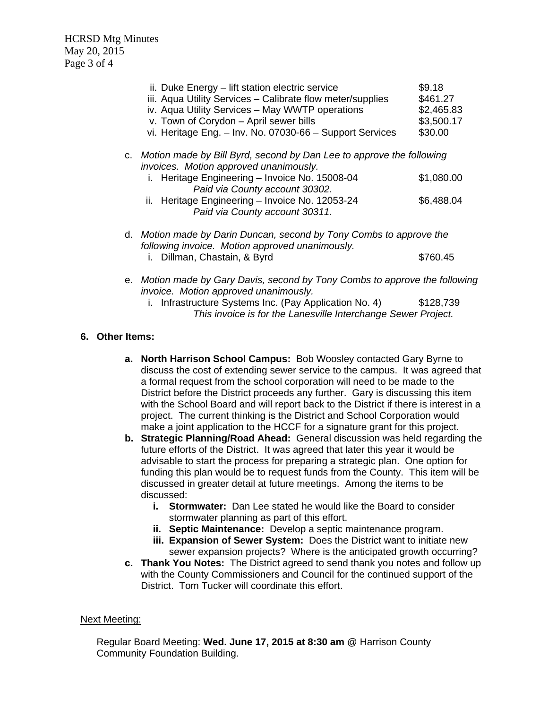HCRSD Mtg Minutes May 20, 2015 Page 3 of 4

|  | ii. Duke Energy – lift station electric service<br>iii. Aqua Utility Services - Calibrate flow meter/supplies<br>iv. Aqua Utility Services - May WWTP operations<br>v. Town of Corydon - April sewer bills<br>vi. Heritage Eng. - Inv. No. 07030-66 - Support Services                     | \$9.18<br>\$461.27<br>\$2,465.83<br>\$3,500.17<br>\$30.00                       |  |
|--|--------------------------------------------------------------------------------------------------------------------------------------------------------------------------------------------------------------------------------------------------------------------------------------------|---------------------------------------------------------------------------------|--|
|  | c. Motion made by Bill Byrd, second by Dan Lee to approve the following<br>invoices. Motion approved unanimously.<br>i. Heritage Engineering - Invoice No. 15008-04<br>Paid via County account 30302.<br>ii. Heritage Engineering - Invoice No. 12053-24<br>Paid via County account 30311. | \$1,080.00<br>\$6,488.04                                                        |  |
|  | following invoice. Motion approved unanimously.<br>Dillman, Chastain, & Byrd<br>İ.                                                                                                                                                                                                         | d. Motion made by Darin Duncan, second by Tony Combs to approve the<br>\$760.45 |  |
|  | e. Motion made by Gary Davis, second by Tony Combs to approve the following                                                                                                                                                                                                                |                                                                                 |  |

*invoice. Motion approved unanimously.*  i. Infrastructure Systems Inc. (Pay Application No. 4) \$128,739 *This invoice is for the Lanesville Interchange Sewer Project.* 

## **6. Other Items:**

- **a. North Harrison School Campus:** Bob Woosley contacted Gary Byrne to discuss the cost of extending sewer service to the campus. It was agreed that a formal request from the school corporation will need to be made to the District before the District proceeds any further. Gary is discussing this item with the School Board and will report back to the District if there is interest in a project. The current thinking is the District and School Corporation would make a joint application to the HCCF for a signature grant for this project.
- **b. Strategic Planning/Road Ahead:** General discussion was held regarding the future efforts of the District. It was agreed that later this year it would be advisable to start the process for preparing a strategic plan. One option for funding this plan would be to request funds from the County. This item will be discussed in greater detail at future meetings. Among the items to be discussed:
	- **i. Stormwater:** Dan Lee stated he would like the Board to consider stormwater planning as part of this effort.
	- **ii. Septic Maintenance:** Develop a septic maintenance program.
	- **iii. Expansion of Sewer System:** Does the District want to initiate new sewer expansion projects? Where is the anticipated growth occurring?
- **c. Thank You Notes:** The District agreed to send thank you notes and follow up with the County Commissioners and Council for the continued support of the District. Tom Tucker will coordinate this effort.

### Next Meeting:

Regular Board Meeting: **Wed. June 17, 2015 at 8:30 am** @ Harrison County Community Foundation Building.